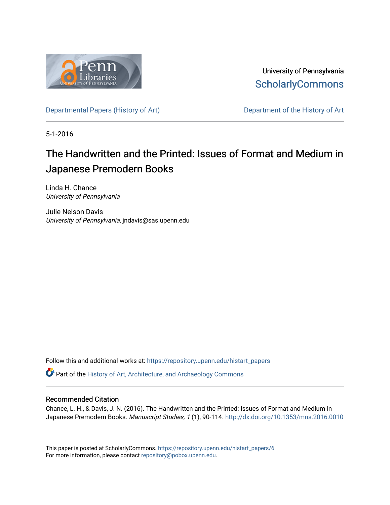

University of Pennsylvania **ScholarlyCommons** 

[Departmental Papers \(History of Art\)](https://repository.upenn.edu/histart_papers) Department of the History of Art

5-1-2016

# The Handwritten and the Printed: Issues of Format and Medium in Japanese Premodern Books

Linda H. Chance University of Pennsylvania

Julie Nelson Davis University of Pennsylvania, jndavis@sas.upenn.edu

Follow this and additional works at: [https://repository.upenn.edu/histart\\_papers](https://repository.upenn.edu/histart_papers?utm_source=repository.upenn.edu%2Fhistart_papers%2F6&utm_medium=PDF&utm_campaign=PDFCoverPages)

Part of the [History of Art, Architecture, and Archaeology Commons](http://network.bepress.com/hgg/discipline/510?utm_source=repository.upenn.edu%2Fhistart_papers%2F6&utm_medium=PDF&utm_campaign=PDFCoverPages) 

#### Recommended Citation

Chance, L. H., & Davis, J. N. (2016). The Handwritten and the Printed: Issues of Format and Medium in Japanese Premodern Books. Manuscript Studies, 1 (1), 90-114. <http://dx.doi.org/10.1353/mns.2016.0010>

This paper is posted at ScholarlyCommons. [https://repository.upenn.edu/histart\\_papers/6](https://repository.upenn.edu/histart_papers/6)  For more information, please contact [repository@pobox.upenn.edu.](mailto:repository@pobox.upenn.edu)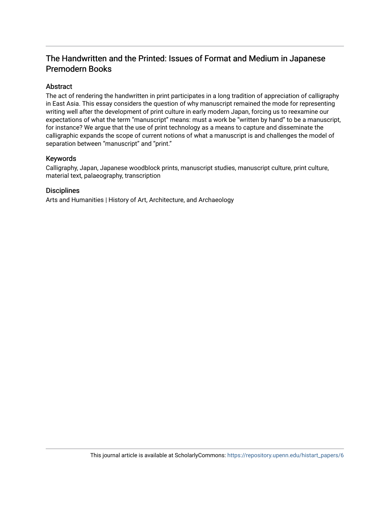# The Handwritten and the Printed: Issues of Format and Medium in Japanese Premodern Books

#### Abstract

The act of rendering the handwritten in print participates in a long tradition of appreciation of calligraphy in East Asia. This essay considers the question of why manuscript remained the mode for representing writing well after the development of print culture in early modern Japan, forcing us to reexamine our expectations of what the term "manuscript" means: must a work be "written by hand" to be a manuscript, for instance? We argue that the use of print technology as a means to capture and disseminate the calligraphic expands the scope of current notions of what a manuscript is and challenges the model of separation between "manuscript" and "print."

#### Keywords

Calligraphy, Japan, Japanese woodblock prints, manuscript studies, manuscript culture, print culture, material text, palaeography, transcription

#### **Disciplines**

Arts and Humanities | History of Art, Architecture, and Archaeology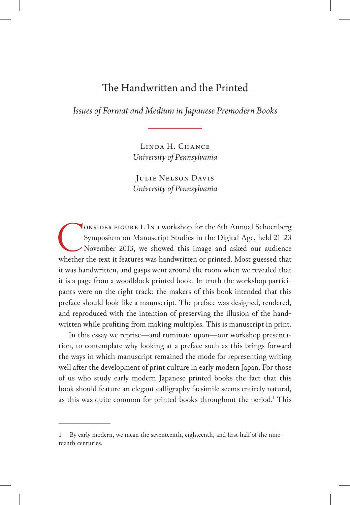## The Handwritten and the Printed

*Issues of Format and Medium in Japanese Premodern Books*

LINDA H. CHANCE *University of Pennsylvania*

JULIE NELSON DAVIS *University of Pennsylvania*

CONSIDER FIGURE 1. IN a workshop for the 6th Annual Schoenberg<br>Symposium on Manuscript Studies in the Digital Age, held 21–23<br>November 2013, we showed this image and asked our audience<br>whether the text it features was hard Symposium on Manuscript Studies in the Digital Age, held 21–23 November 2013, we showed this image and asked our audience whether the text it features was handwritten or printed. Most guessed that it was handwritten, and gasps went around the room when we revealed that it is a page fom a woodblock printed book. In truth the workshop participants were on the right track: the makers of this book intended that this preface should look like a manuscript. The preface was designed, rendered, and reproduced with the intention of preserving the illusion of the handwritten while profting fom making multiples. This is manuscript in print.

In this essay we reprise—and ruminate upon—our workshop presentation, to contemplate why looking at a preface such as this brings forward the ways in which manuscript remained the mode for representing writing well afer the development of print culture in early modern Japan. For those of us who study early modern Japanese printed books the fact that this book should feature an elegant calligraphy facsimile seems entirely natural, as this was quite common for printed books throughout the period.<sup>1</sup> This

By early modern, we mean the seventeenth, eighteenth, and first half of the nineteenth centuries.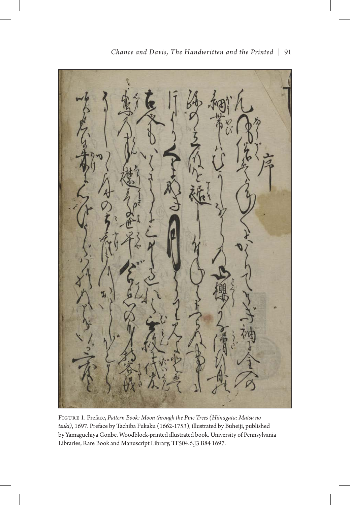

*Chance and Davis, The Handwritten and the Printed* | 91

Figure 1. Preface, *Patern Book: Moon through the Pine Trees (Hiinagata: Matsu no tsuki)*, 1697. Preface by Tachiba Fukaku (1662-1753), illustrated by Buheiji, published by Yamaguchiya Gonbē. Woodblock-printed illustrated book. University of Pennsylvania Libraries, Rare Book and Manuscript Library, TT504.6.J3 B84 1697.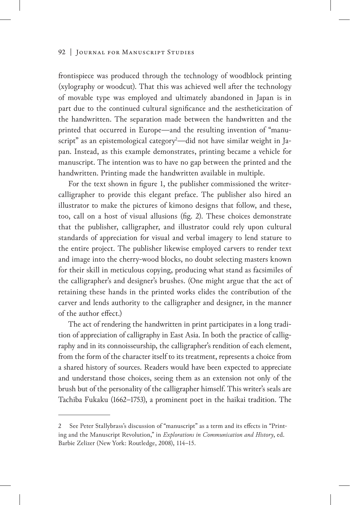fontispiece was produced through the technology of woodblock printing (xylography or woodcut). That this was achieved well after the technology of movable type was employed and ultimately abandoned in Japan is in part due to the continued cultural signifcance and the aestheticization of the handwritten. The separation made between the handwritten and the printed that occurred in Europe—and the resulting invention of "manuscript" as an epistemological category2 —did not have similar weight in Japan. Instead, as this example demonstrates, printing became a vehicle for manuscript. The intention was to have no gap between the printed and the handwritten. Printing made the handwritten available in multiple.

For the text shown in fgure 1, the publisher commissioned the writercalligrapher to provide this elegant preface. The publisher also hired an illustrator to make the pictures of kimono designs that follow, and these, too, call on a host of visual allusions (fg. 2). These choices demonstrate that the publisher, calligrapher, and illustrator could rely upon cultural standards of appreciation for visual and verbal imagery to lend stature to the entire project. The publisher likewise employed carvers to render text and image into the cherry-wood blocks, no doubt selecting masters known for their skill in meticulous copying, producing what stand as facsimiles of the calligrapher's and designer's brushes. (One might argue that the act of retaining these hands in the printed works elides the contribution of the carver and lends authority to the calligrapher and designer, in the manner of the author efect.)

The act of rendering the handwritten in print participates in a long tradition of appreciation of calligraphy in East Asia. In both the practice of calligraphy and in its connoisseurship, the calligrapher's rendition of each element, fom the form of the character itself to its treatment, represents a choice fom a shared history of sources. Readers would have been expected to appreciate and understand those choices, seeing them as an extension not only of the brush but of the personality of the calligrapher himself. This writer's seals are Tachiba Fukaku (1662–1753), a prominent poet in the haikai tradition. The

<sup>2</sup> See Peter Stallybrass's discussion of "manuscript" as a term and its efects in "Printing and the Manuscript Revolution," in *Explorations in Communication and History*, ed. Barbie Zelizer (New York: Routledge, 2008), 114–1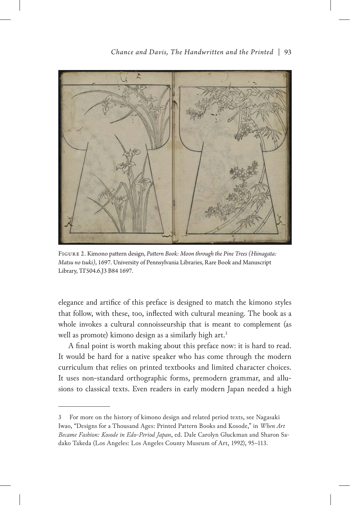

Figure 2. Kimono patern design, *Patern Book: Moon through the Pine Trees (Hiinagata: Matsu no tsuki)*, 1697. University of Pennsylvania Libraries, Rare Book and Manuscript Library, T504.6.J3 B84 1697.

elegance and artifce of this preface is designed to match the kimono styles that follow, with these, too, infected with cultural meaning. The book as a whole invokes a cultural connoisseurship that is meant to complement (as well as promote) kimono design as a similarly high art.<sup>3</sup>

A fnal point is worth making about this preface now: it is hard to read. It would be hard for a native speaker who has come through the modern curriculum that relies on printed textbooks and limited character choices. It uses non-standard orthographic forms, premodern grammar, and allusions to classical texts. Even readers in early modern Japan needed a high

<sup>3</sup> For more on the history of kimono design and related period texts, see Nagasaki Iwao, "Designs for a Thousand Ages: Printed Pattern Books and Kosode," in *When Art Became Fashion: Kosode in Edo-Period Japan*, ed. Dale Carolyn Gluckman and Sharon Sadako Takeda (Los Angeles: Los Angeles County Museum of Art, 1992), 95–11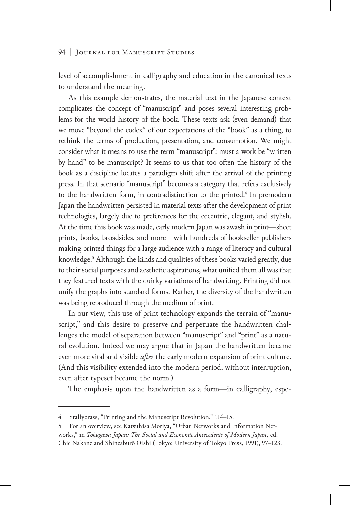level of accomplishment in calligraphy and education in the canonical texts to understand the meaning.

As this example demonstrates, the material text in the Japanese context complicates the concept of "manuscript" and poses several interesting problems for the world history of the book. These texts ask (even demand) that we move "beyond the codex" of our expectations of the "book" as a thing, to rethink the terms of production, presentation, and consumption. We might consider what it means to use the term "manuscript": must a work be "written by hand" to be manuscript? It seems to us that too ofen the history of the book as a discipline locates a paradigm shift after the arrival of the printing press. In that scenario "manuscript" becomes a category that refers exclusively to the handwritten form, in contradistinction to the printed.<sup>4</sup> In premodern Japan the handwritten persisted in material texts afer the development of print technologies, largely due to preferences for the eccentric, elegant, and stylish. At the time this book was made, early modern Japan was awash in print—sheet prints, books, broadsides, and more—with hundreds of bookseller-publishers making printed things for a large audience with a range of literacy and cultural knowledge.5 Although the kinds and qualities of these books varied greatly, due to their social purposes and aesthetic aspirations, what unifed them all was that they featured texts with the quirky variations of handwriting. Printing did not unify the graphs into standard forms. Rather, the diversity of the handwritten was being reproduced through the medium of print.

In our view, this use of print technology expands the terrain of "manuscript," and this desire to preserve and perpetuate the handwritten challenges the model of separation between "manuscript" and "print" as a natural evolution. Indeed we may argue that in Japan the handwritten became even more vital and visible *afer* the early modern expansion of print culture. (And this visibility extended into the modern period, without interruption, even after typeset became the norm.)

The emphasis upon the handwritten as a form—in calligraphy, espe-

<sup>4</sup> Stallybrass, "Printing and the Manuscript Revolution," 114–15.

<sup>5</sup> For an overview, see Katsuhisa Moriya, "Urban Networks and Information Networks," in *Tokugawa Japan: The Social and Economic Antecedents of Modern Japan*, ed. Chie Nakane and Shinzaburō Ōishi (Tokyo: University of Tokyo Press, 1991), 97–123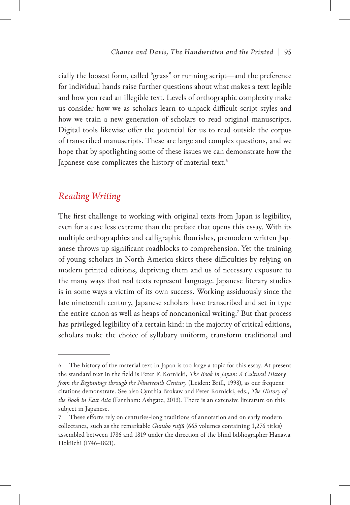cially the loosest form, called "grass" or running script—and the preference for individual hands raise further questions about what makes a text legible and how you read an illegible text. Levels of orthographic complexity make us consider how we as scholars learn to unpack difficult script styles and how we train a new generation of scholars to read original manuscripts. Digital tools likewise offer the potential for us to read outside the corpus of transcribed manuscripts. These are large and complex questions, and we hope that by spotlighting some of these issues we can demonstrate how the Japanese case complicates the history of material text.<sup>6</sup>

## *Reading Writing*

The frst challenge to working with original texts fom Japan is legibility, even for a case less extreme than the preface that opens this essay. With its multiple orthographies and calligraphic fourishes, premodern written Japanese throws up signifcant roadblocks to comprehension. Yet the training of young scholars in North America skirts these difficulties by relying on modern printed editions, depriving them and us of necessary exposure to the many ways that real texts represent language. Japanese literary studies is in some ways a victim of its own success. Working assiduously since the late nineteenth century, Japanese scholars have transcribed and set in type the entire canon as well as heaps of noncanonical writing.7 But that process has privileged legibility of a certain kind: in the majority of critical editions, scholars make the choice of syllabary uniform, transform traditional and

<sup>6</sup> The history of the material text in Japan is too large a topic for this essay. At present the standard text in the feld is Peter F. Kornicki, *The Book in Japan: A Cultural History fom the Beginnings through the Nineteenth Century* (Leiden: Brill, 1998), as our fequent citations demonstrate. See also Cynthia Brokaw and Peter Kornicki, eds., *The History of the Book in East Asia* (Farnham: Ashgate, 2013). There is an extensive literature on this subject in Japanese.

<sup>7</sup> These eforts rely on centuries-long traditions of annotation and on early modern collectanea, such as the remarkable *Gunsho ruiū* (665 volumes containing 1,276 titles) assembled between 1786 and 1819 under the direction of the blind bibliographer Hanawa Hokiichi (1746–1821).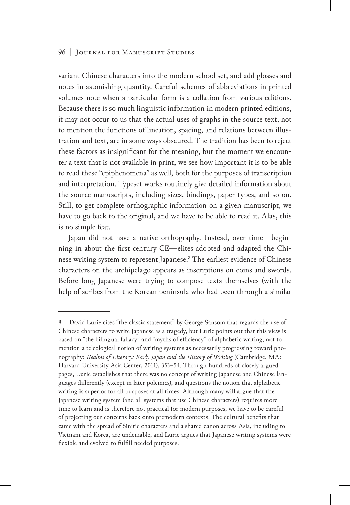#### 96 | Journal for Manuscript Studies

variant Chinese characters into the modern school set, and add glosses and notes in astonishing quantity. Careful schemes of abbreviations in printed volumes note when a particular form is a collation fom various editions. Because there is so much linguistic information in modern printed editions, it may not occur to us that the actual uses of graphs in the source text, not to mention the functions of lineation, spacing, and relations between illustration and text, are in some ways obscured. The tradition has been to reject these factors as insignifcant for the meaning, but the moment we encounter a text that is not available in print, we see how important it is to be able to read these "epiphenomena" as well, both for the purposes of transcription and interpretation. Typeset works routinely give detailed information about the source manuscripts, including sizes, bindings, paper types, and so on. Still, to get complete orthographic information on a given manuscript, we have to go back to the original, and we have to be able to read it. Alas, this is no simple feat.

Japan did not have a native orthography. Instead, over time—beginning in about the frst century CE—elites adopted and adapted the Chinese writing system to represent Japanese.8 The earliest evidence of Chinese characters on the archipelago appears as inscriptions on coins and swords. Before long Japanese were trying to compose texts themselves (with the help of scribes fom the Korean peninsula who had been through a similar

David Lurie cites "the classic statement" by George Sansom that regards the use of Chinese characters to write Japanese as a tragedy, but Lurie points out that this view is based on "the bilingual fallacy" and "myths of efficiency" of alphabetic writing, not to mention a teleological notion of writing systems as necessarily progressing toward phonography; *Realms of Literacy: Early Japan and the History of Writing* (Cambridge, MA: Harvard University Asia Center, 2011), 353–54 Through hundreds of closely argued pages, Lurie establishes that there was no concept of writing Japanese and Chinese languages diferently (except in later polemics), and questions the notion that alphabetic writing is superior for all purposes at all times. Although many will argue that the Japanese writing system (and all systems that use Chinese characters) requires more time to learn and is therefore not practical for modern purposes, we have to be careful of projecting our concerns back onto premodern contexts. The cultural benefts that came with the spread of Sinitic characters and a shared canon across Asia, including to Vietnam and Korea, are undeniable, and Lurie argues that Japanese writing systems were fexible and evolved to fulfll needed purposes.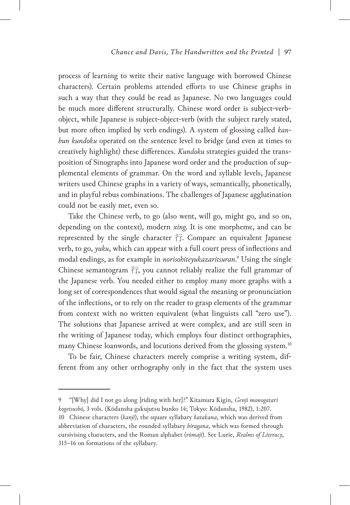process of learning to write their native language with borrowed Chinese characters). Certain problems attended efforts to use Chinese graphs in such a way that they could be read as Japanese. No two languages could be much more diferent structurally. Chinese word order is subject-verbobject, while Japanese is subject-object-verb (with the subject rarely stated, but more ofen implied by verb endings). A system of glossing called *kanbun kundoku* operated on the sentence level to bridge (and even at times to creatively highlight) these diferences. *Kundoku* strategies guided the transposition of Sinographs into Japanese word order and the production of supplemental elements of grammar. On the word and syllable levels, Japanese writers used Chinese graphs in a variety of ways, semantically, phonetically, and in playful rebus combinations. The challenges of Japanese agglutination could not be easily met, even so.

Take the Chinese verb, to go (also went, will go, might go, and so on, depending on the context), modern *xing*. It is one morpheme, and can be represented by the single character 行. Compare an equivalent Japanese verb, to go, *yuku*, which can appear with a full court press of infections and modal endings, as for example in *norisohiteyukazaritsuran*. 9 Using the single Chinese semantogram 行, you cannot reliably realize the full grammar of the Japanese verb. You needed either to employ many more graphs with a long set of correspondences that would signal the meaning or pronunciation of the infections, or to rely on the reader to grasp elements of the grammar fom context with no written equivalent (what linguists call "zero use"). The solutions that Japanese arrived at were complex, and are still seen in the writing of Japanese today, which employs four distinct orthographies, many Chinese loanwords, and locutions derived from the glossing system.<sup>10</sup>

To be fair, Chinese characters merely comprise a writing system, different fom any other orthography only in the fact that the system uses

<sup>9 &</sup>quot;[Why] did I not go along [riding with her]?" Kitamura Kigin, *Geni monogatari kogetsushō*, 3 vols. (Kōdansha gakujutsu bunko 14; Tokyo: Kōdansha, 1982), 1:207

<sup>10</sup> Chinese characters (*kani*), the square syllabary *katakana*, which was derived fom abbreviation of characters, the rounded syllabary *hiragana*, which was formed through cursivising characters, and the Roman alphabet (*rōmaji*). See Lurie, *Realms of Literacy*, 315–16 on formations of the syllabary.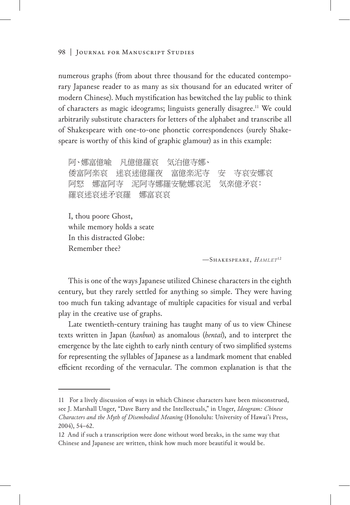numerous graphs (from about three thousand for the educated contemporary Japanese reader to as many as six thousand for an educated writer of modern Chinese). Much mystifcation has bewitched the lay public to think of characters as magic ideograms; linguists generally disagree.11 We could arbitrarily substitute characters for letters of the alphabet and transcribe all of Shakespeare with one-to-one phonetic correspondences (surely Shakespeare is worthy of this kind of graphic glamour) as in this example:

阿、娜富億喩 凡億億羅哀 気泊億寺娜、 倭富阿楽哀 迷哀迷億羅夜 富億楽泥寺 安 寺哀安娜哀 阿怒 娜富阿寺 泥阿寺娜羅安馳娜哀泥 気楽億矛哀: 羅哀迷哀迷矛哀羅 娜富哀哀 I, thou poore Ghost, while memory holds a seate In this distracted Globe: Remember thee?

—Shakespeare, *Hamlet*<sup>12</sup>

This is one of the ways Japanese utilized Chinese characters in the eighth century, but they rarely settled for anything so simple. They were having too much fun taking advantage of multiple capacities for visual and verbal play in the creative use of graphs.

Late twentieth-century training has taught many of us to view Chinese texts written in Japan (*kanbun*) as anomalous (*hentai*), and to interpret the emergence by the late eighth to early ninth century of two simplifed systems for representing the syllables of Japanese as a landmark moment that enabled efficient recording of the vernacular. The common explanation is that the

<sup>11</sup> For a lively discussion of ways in which Chinese characters have been misconstrued, see J. Marshall Unger, "Dave Barry and the Intellectuals," in Unger, *Ideogram: Chinese Characters and the Myth of Disembodied Meaning* (Honolulu: University of Hawai'i Press, 2004), 54–62

<sup>12</sup> And if such a transcription were done without word breaks, in the same way that Chinese and Japanese are written, think how much more beautiful it would be.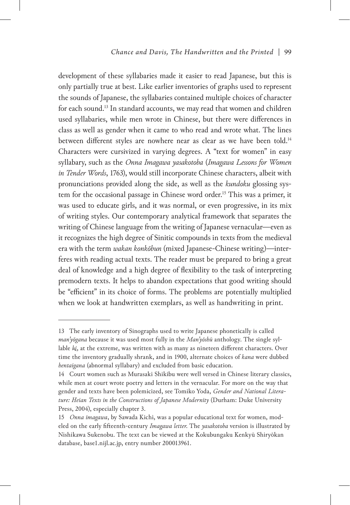development of these syllabaries made it easier to read Japanese, but this is only partially true at best. Like earlier inventories of graphs used to represent the sounds of Japanese, the syllabaries contained multiple choices of character for each sound.13 In standard accounts, we may read that women and children used syllabaries, while men wrote in Chinese, but there were diferences in class as well as gender when it came to who read and wrote what. The lines between different styles are nowhere near as clear as we have been told.<sup>14</sup> Characters were cursivized in varying degrees. A "text for women" in easy syllabary, such as the *Onna Imagawa yasakotoba* (*Imagawa Lessons for Women in Tender Words*, 1763), would still incorporate Chinese characters, albeit with pronunciations provided along the side, as well as the *kundoku* glossing system for the occasional passage in Chinese word order.<sup>15</sup> This was a primer, it was used to educate girls, and it was normal, or even progressive, in its mix of writing styles. Our contemporary analytical famework that separates the writing of Chinese language fom the writing of Japanese vernacular—even as it recognizes the high degree of Sinitic compounds in texts fom the medieval era with the term *wakan konkōbun* (mixed Japanese-Chinese writing)—interferes with reading actual texts. The reader must be prepared to bring a great deal of knowledge and a high degree of fexibility to the task of interpreting premodern texts. It helps to abandon expectations that good writing should be "efficient" in its choice of forms. The problems are potentially multiplied when we look at handwritten exemplars, as well as handwriting in print.

<sup>13</sup> The early inventory of Sinographs used to write Japanese phonetically is called *man'yōgana* because it was used most fully in the *Man'yōshū* anthology. The single syllable *k*, at the extreme, was written with as many as nineteen diferent characters. Over time the inventory gradually shrank, and in 1900, alternate choices of *kana* were dubbed *hentaigana* (abnormal syllabary) and excluded fom basic education.

<sup>14</sup> Court women such as Murasaki Shikibu were well versed in Chinese literary classics, while men at court wrote poetry and letters in the vernacular. For more on the way that gender and texts have been polemicized, see Tomiko Yoda, *Gender and National Literature: Heian Texts in the Constructions of Japanese Modernity* (Durham: Duke University Press, 2004), especially chapter 3

<sup>15</sup> *Onna imagawa*, by Sawada Kichi, was a popular educational text for women, modeled on the early ffeenth-century *Imagawa letter*. The *yasakotoba* version is illustrated by Nishikawa Sukenobu. The text can be viewed at the Kokubungaku Kenkyū Shiryōkan database, base1.nijl.ac.jp, entry number 200013961.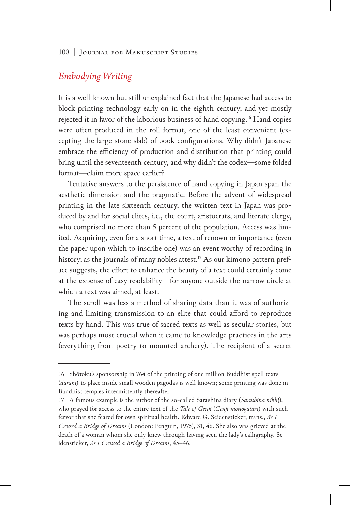## *Embodying Writing*

It is a well-known but still unexplained fact that the Japanese had access to block printing technology early on in the eighth century, and yet mostly rejected it in favor of the laborious business of hand copying.16 Hand copies were often produced in the roll format, one of the least convenient (excepting the large stone slab) of book confgurations. Why didn't Japanese embrace the efficiency of production and distribution that printing could bring until the seventeenth century, and why didn't the codex—some folded format—claim more space earlier?

Tentative answers to the persistence of hand copying in Japan span the aesthetic dimension and the pragmatic. Before the advent of widespread printing in the late sixteenth century, the written text in Japan was produced by and for social elites, i.e., the court, aristocrats, and literate clergy, who comprised no more than 5 percent of the population. Access was limited. Acquiring, even for a short time, a text of renown or importance (even the paper upon which to inscribe one) was an event worthy of recording in history, as the journals of many nobles attest.<sup>17</sup> As our kimono pattern preface suggests, the effort to enhance the beauty of a text could certainly come at the expense of easy readability—for anyone outside the narrow circle at which a text was aimed, at least.

The scroll was less a method of sharing data than it was of authorizing and limiting transmission to an elite that could aford to reproduce texts by hand. This was true of sacred texts as well as secular stories, but was perhaps most crucial when it came to knowledge practices in the arts (everything fom poetry to mounted archery). The recipient of a secret

<sup>16</sup> Shōtoku's sponsorship in 764 of the printing of one million Buddhist spell texts (*darani*) to place inside small wooden pagodas is well known; some printing was done in Buddhist temples intermittently thereafer.

<sup>17</sup> A famous example is the author of the so-called Sarashina diary (*Sarashina nikk*), who prayed for access to the entire text of the *Tale of Genji (Genji monogatari*) with such fervor that she feared for own spiritual health. Edward G. Seidensticker, trans., *As I Crossed a Bridge of Dreams* (London: Penguin, 1975), 31, 46 She also was grieved at the death of a woman whom she only knew through having seen the lady's calligraphy. Seidensticker, *As I Crossed a Bridge of Dreams*, 45–46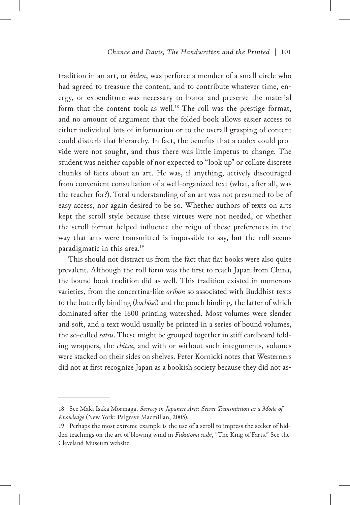tradition in an art, or *hiden*, was perforce a member of a small circle who had agreed to treasure the content, and to contribute whatever time, energy, or expenditure was necessary to honor and preserve the material form that the content took as well.18 The roll was the prestige format, and no amount of argument that the folded book allows easier access to either individual bits of information or to the overall grasping of content could disturb that hierarchy. In fact, the benefts that a codex could provide were not sought, and thus there was little impetus to change. The student was neither capable of nor expected to "look up" or collate discrete chunks of facts about an art. He was, if anything, actively discouraged from convenient consultation of a well-organized text (what, after all, was the teacher for?). Total understanding of an art was not presumed to be of easy access, nor again desired to be so. Whether authors of texts on arts kept the scroll style because these virtues were not needed, or whether the scroll format helped infuence the reign of these preferences in the way that arts were transmitted is impossible to say, but the roll seems paradigmatic in this area.19

This should not distract us from the fact that flat books were also quite prevalent. Although the roll form was the frst to reach Japan fom China, the bound book tradition did as well. This tradition existed in numerous varieties, fom the concertina-like *orihon* so associated with Buddhist texts to the butterfy binding (*kochōsō*) and the pouch binding, the latter of which dominated afer the 1600 printing watershed. Most volumes were slender and soft, and a text would usually be printed in a series of bound volumes, the so-called *satsu*. These might be grouped together in stif cardboard folding wrappers, the *chitsu*, and with or without such integuments, volumes were stacked on their sides on shelves. Peter Kornicki notes that Westerners did not at frst recognize Japan as a bookish society because they did not as-

<sup>18</sup> See Maki Isaka Morinaga, *Secrecy in Japanese Arts: Secret Transmission as a Mode of Knowledge* (New York: Palgrave Macmillan, 2005).

<sup>19</sup> Perhaps the most extreme example is the use of a scroll to impress the seeker of hidden teachings on the art of blowing wind in *Fukutomi sōshi*, "The King of Farts." See the Cleveland Museum website.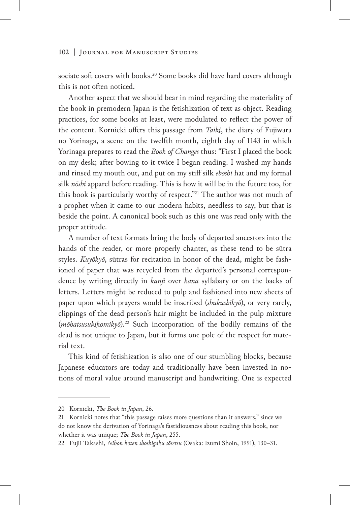sociate soft covers with books.<sup>20</sup> Some books did have hard covers although this is not often noticed.

Another aspect that we should bear in mind regarding the materiality of the book in premodern Japan is the fetishization of text as object. Reading practices, for some books at least, were modulated to refect the power of the content. Kornicki offers this passage from *Taiki*, the diary of Fujiwara no Yorinaga, a scene on the twelfh month, eighth day of 1143 in which Yorinaga prepares to read the *Book of Changes* thus: "First I placed the book on my desk; after bowing to it twice I began reading. I washed my hands and rinsed my mouth out, and put on my stif silk *eboshi* hat and my formal silk *nōshi* apparel before reading. This is how it will be in the future too, for this book is particularly worthy of respect."21 The author was not much of a prophet when it came to our modern habits, needless to say, but that is beside the point. A canonical book such as this one was read only with the proper attitude.

A number of text formats bring the body of departed ancestors into the hands of the reader, or more properly chanter, as these tend to be sūtra styles. *Kuyōkyō*, sūtras for recitation in honor of the dead, might be fashioned of paper that was recycled from the departed's personal correspondence by writing directly in *kani* over *kana* syllabary or on the backs of letters. Letters might be reduced to pulp and fashioned into new sheets of paper upon which prayers would be inscribed (*shukushikyō*), or very rarely, clippings of the dead person's hair might be included in the pulp mixture (*mōhatsusukkomikyō*).22 Such incorporation of the bodily remains of the dead is not unique to Japan, but it forms one pole of the respect for material text.

This kind of fetishization is also one of our stumbling blocks, because Japanese educators are today and traditionally have been invested in notions of moral value around manuscript and handwriting. One is expected

<sup>20</sup> Kornicki, *The Book in Japan*, 26

<sup>21</sup> Kornicki notes that "this passage raises more questions than it answers," since we do not know the derivation of Yorinaga's fastidiousness about reading this book, nor whether it was unique; *The Book in Japan*, 255

<sup>22</sup> Fujii Takashi, *Nihon koten shoshigaku sōsetsu* (Osaka: Izumi Shoin, 1991), 130–31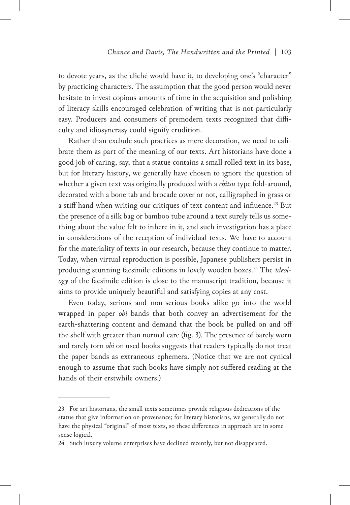to devote years, as the cliché would have it, to developing one's "character" by practicing characters. The assumption that the good person would never hesitate to invest copious amounts of time in the acquisition and polishing of literacy skills encouraged celebration of writing that is not particularly easy. Producers and consumers of premodern texts recognized that difficulty and idiosyncrasy could signify erudition.

Rather than exclude such practices as mere decoration, we need to calibrate them as part of the meaning of our texts. Art historians have done a good job of caring, say, that a statue contains a small rolled text in its base, but for literary history, we generally have chosen to ignore the question of whether a given text was originally produced with a *chitsu* type fold-around, decorated with a bone tab and brocade cover or not, calligraphed in grass or a stiff hand when writing our critiques of text content and influence.<sup>23</sup> But the presence of a silk bag or bamboo tube around a text surely tells us something about the value felt to inhere in it, and such investigation has a place in considerations of the reception of individual texts. We have to account for the materiality of texts in our research, because they continue to matter. Today, when virtual reproduction is possible, Japanese publishers persist in producing stunning facsimile editions in lovely wooden boxes.24 The *ideology* of the facsimile edition is close to the manuscript tradition, because it aims to provide uniquely beautiful and satisfying copies at any cost.

Even today, serious and non-serious books alike go into the world wrapped in paper *obi* bands that both convey an advertisement for the earth-shattering content and demand that the book be pulled on and of the shelf with greater than normal care (fg. 3). The presence of barely worn and rarely torn *obi* on used books suggests that readers typically do not treat the paper bands as extraneous ephemera. (Notice that we are not cynical enough to assume that such books have simply not sufered reading at the hands of their erstwhile owners.)

<sup>23</sup> For art historians, the small texts sometimes provide religious dedications of the statue that give information on provenance; for literary historians, we generally do not have the physical "original" of most texts, so these diferences in approach are in some sense logical.

<sup>24</sup> Such luxury volume enterprises have declined recently, but not disappeared.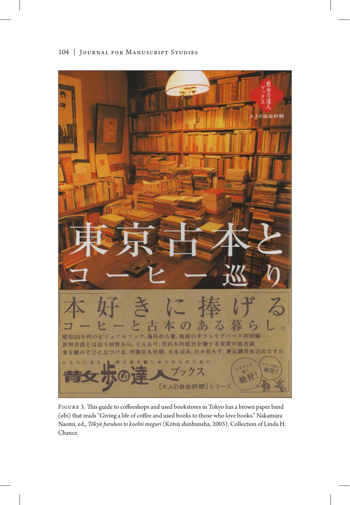

FIGURE 3. This guide to coffeeshops and used bookstores in Tokyo has a brown paper band (obi) that reads "Giving a life of coffee and used books to those who love books." Nakamura Naomi, ed., *Tōkyō furuhon to koohii meguri* (Kōtsū shinbunsha, 2003). Collection of Linda H. Chance.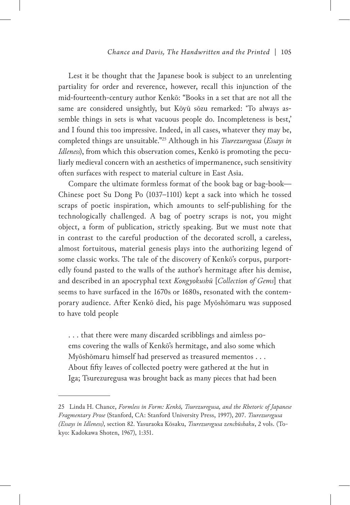Lest it be thought that the Japanese book is subject to an unrelenting partiality for order and reverence, however, recall this inunction of the mid-fourteenth-century author Kenkō: "Books in a set that are not all the same are considered unsightly, but Kōyū sōzu remarked: 'To always assemble things in sets is what vacuous people do. Incompleteness is best,' and I found this too impressive. Indeed, in all cases, whatever they may be, completed things are unsuitable."25 Although in his *Tsurezuregusa* (*Essays in*  Idleness), from which this observation comes, Kenkō is promoting the peculiarly medieval concern with an aesthetics of impermanence, such sensitivity often surfaces with respect to material culture in East Asia.

Compare the ultimate formless format of the book bag or bag-book— Chinese poet Su Dong Po (1037–1101) kept a sack into which he tossed scraps of poetic inspiration, which amounts to self-publishing for the technologically challenged. A bag of poetry scraps is not, you might object, a form of publication, strictly speaking. But we must note that in contrast to the careful production of the decorated scroll, a careless, almost fortuitous, material genesis plays into the authorizing legend of some classic works. The tale of the discovery of Kenkō's corpus, purportedly found pasted to the walls of the author's hermitage after his demise, and described in an apocryphal text *Kongyokushū* [*Collection of Gems*] that seems to have surfaced in the 1670s or 1680s, resonated with the contemporary audience. Afer Kenkō died, his page Myōshōmaru was supposed to have told people

. . . that there were many discarded scribblings and aimless poems covering the walls of Kenkō's hermitage, and also some which Myōshōmaru himself had preserved as treasured mementos . . . About fifty leaves of collected poetry were gathered at the hut in Iga; Tsurezuregusa was brought back as many pieces that had been

<sup>25</sup> Linda H. Chance, *Formless in Form: Kenkō, Tsurezuregusa, and the Rhetoric of Japanese Fragmentary Prose* (Stanford, CA: Stanford University Press, 1997), 207 *Tsurezuregusa (Essays in Idleness)*, section 82 Yasuraoka Kōsaku, *Tsurezuregusa zenchūshaku*, 2 vols. (Tokyo: Kadokawa Shoten, 1967), 1:351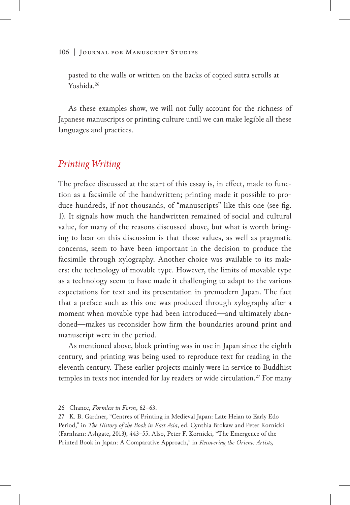pasted to the walls or written on the backs of copied sūtra scrolls at Yoshida.26

As these examples show, we will not fully account for the richness of Japanese manuscripts or printing culture until we can make legible all these languages and practices.

## *Printing Writing*

The preface discussed at the start of this essay is, in effect, made to function as a facsimile of the handwritten; printing made it possible to produce hundreds, if not thousands, of "manuscripts" like this one (see fg. 1). It signals how much the handwritten remained of social and cultural value, for many of the reasons discussed above, but what is worth bringing to bear on this discussion is that those values, as well as pragmatic concerns, seem to have been important in the decision to produce the facsimile through xylography. Another choice was available to its makers: the technology of movable type. However, the limits of movable type as a technology seem to have made it challenging to adapt to the various expectations for text and its presentation in premodern Japan. The fact that a preface such as this one was produced through xylography afer a moment when movable type had been introduced—and ultimately abandoned—makes us reconsider how frm the boundaries around print and manuscript were in the period.

As mentioned above, block printing was in use in Japan since the eighth century, and printing was being used to reproduce text for reading in the eleventh century. These earlier projects mainly were in service to Buddhist temples in texts not intended for lay readers or wide circulation.<sup>27</sup> For many

<sup>26</sup> Chance, *Formless in Form*, 62–63

<sup>27</sup> K. B. Gardner, "Centres of Printing in Medieval Japan: Late Heian to Early Edo Period," in *The History of the Book in East Asia*, ed. Cynthia Brokaw and Peter Kornicki (Farnham: Ashgate, 2013), 443–55 Also, Peter F. Kornicki, "The Emergence of the Printed Book in Japan: A Comparative Approach," in *Recovering the Orient: Artists,*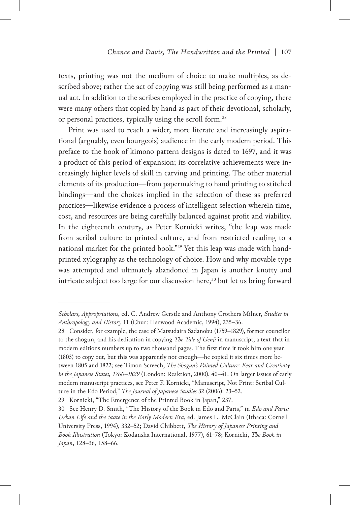texts, printing was not the medium of choice to make multiples, as described above; rather the act of copying was still being performed as a manual act. In addition to the scribes employed in the practice of copying, there were many others that copied by hand as part of their devotional, scholarly, or personal practices, typically using the scroll form.28

Print was used to reach a wider, more literate and increasingly aspirational (arguably, even bourgeois) audience in the early modern period. This preface to the book of kimono pattern designs is dated to 1697, and it was a product of this period of expansion; its correlative achievements were increasingly higher levels of skill in carving and printing. The other material elements of its production—fom papermaking to hand printing to stitched bindings—and the choices implied in the selection of these as preferred practices—likewise evidence a process of intelligent selection wherein time, cost, and resources are being carefully balanced against proft and viability. In the eighteenth century, as Peter Kornicki writes, "the leap was made fom scribal culture to printed culture, and fom restricted reading to a national market for the printed book."29 Yet this leap was made with handprinted xylography as the technology of choice. How and why movable type was attempted and ultimately abandoned in Japan is another knotty and intricate subject too large for our discussion here,<sup>30</sup> but let us bring forward

*Scholars, Appropriations*, ed. C. Andrew Gerstle and Anthony Crothers Milner, *Studies in Anthropology and History* 11 (Chur: Harwood Academic, 1994), 235–36

<sup>28</sup> Consider, for example, the case of Matsudaira Sadanobu (1759–1829), former councilor to the shogun, and his dedication in copying *The Tale of Geni* in manuscript, a text that in modern editions numbers up to two thousand pages. The frst time it took him one year (1803) to copy out, but this was apparently not enough—he copied it six times more between 1805 and 1822; see Timon Screech, *The Shogun's Painted Culture: Fear and Creativity in the Japanese States, 1760–1829* (London: Reaktion, 2000), 40–41 On larger issues of early modern manuscript practices, see Peter F. Kornicki, "Manuscript, Not Print: Scribal Culture in the Edo Period," *The Journal of Japanese Studies* 32 (2006): 23–52

<sup>29</sup> Kornicki, "The Emergence of the Printed Book in Japan," 237

<sup>30</sup> See Henry D. Smith, "The History of the Book in Edo and Paris," in *Edo and Paris: Urban Life and the State in the Early Modern Era*, ed. James L. McClain (Ithaca: Cornell University Press, 1994), 332–52; David Chibbett, *The History of Japanese Printing and Book Illustration* (Tokyo: Kodansha International, 1977), 61–78; Kornicki, *The Book in Japan*, 128–36, 158–66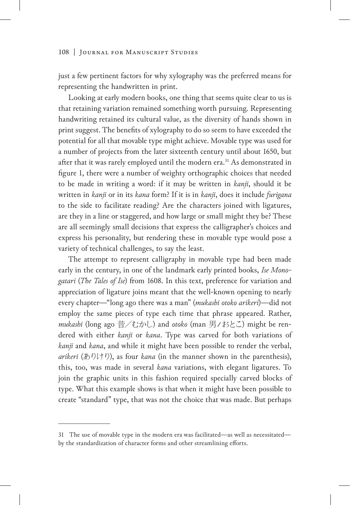just a few pertinent factors for why xylography was the preferred means for representing the handwritten in print.

Looking at early modern books, one thing that seems quite clear to us is that retaining variation remained something worth pursuing. Representing handwriting retained its cultural value, as the diversity of hands shown in print suggest. The benefts of xylography to do so seem to have exceeded the potential for all that movable type might achieve. Movable type was used for a number of projects fom the later sixteenth century until about 1650, but after that it was rarely employed until the modern era.<sup>31</sup> As demonstrated in fgure 1, there were a number of weighty orthographic choices that needed to be made in writing a word: if it may be written in *kani*, should it be written in *kani* or in its *kana* form? If it is in *kani*, does it include *furigana* to the side to facilitate reading? Are the characters joined with ligatures, are they in a line or staggered, and how large or small might they be? These are all seemingly small decisions that express the calligrapher's choices and express his personality, but rendering these in movable type would pose a variety of technical challenges, to say the least.

The attempt to represent calligraphy in movable type had been made early in the century, in one of the landmark early printed books, *Ise Monogatari* (*The Tales of Ise*) fom 1608 In this text, preference for variation and appreciation of ligature joins meant that the well-known opening to nearly every chapter—"long ago there was a man" (*mukashi otoko arikeri*)—did not employ the same pieces of type each time that phrase appeared. Rather, *mukashi* (long ago 昔/むかし) and *otoko* (man 男/おとこ) might be rendered with either *kani* or *kana*. Type was carved for both variations of *kani* and *kana*, and while it might have been possible to render the verbal, *arikeri* (ありけり), as four *kana* (in the manner shown in the parenthesis), this, too, was made in several *kana* variations, with elegant ligatures. To join the graphic units in this fashion required specially carved blocks of type. What this example shows is that when it might have been possible to create "standard" type, that was not the choice that was made. But perhaps

<sup>31</sup> The use of movable type in the modern era was facilitated—as well as necessitated by the standardization of character forms and other streamlining efforts.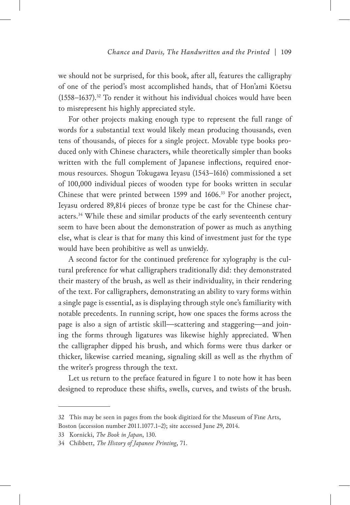we should not be surprised, for this book, afer all, features the calligraphy of one of the period's most accomplished hands, that of Hon'ami Kōetsu (1558–1637).32 To render it without his individual choices would have been to misrepresent his highly appreciated style.

For other projects making enough type to represent the full range of words for a substantial text would likely mean producing thousands, even tens of thousands, of pieces for a single project. Movable type books produced only with Chinese characters, while theoretically simpler than books written with the full complement of Japanese infections, required enormous resources. Shogun Tokugawa Ieyasu (1543–1616) commissioned a set of 100,000 individual pieces of wooden type for books written in secular Chinese that were printed between 1599 and 1606.<sup>33</sup> For another project, Ieyasu ordered 89,814 pieces of bronze type be cast for the Chinese characters.<sup>34</sup> While these and similar products of the early seventeenth century seem to have been about the demonstration of power as much as anything else, what is clear is that for many this kind of investment just for the type would have been prohibitive as well as unwieldy.

A second factor for the continued preference for xylography is the cultural preference for what calligraphers traditionally did: they demonstrated their mastery of the brush, as well as their individuality, in their rendering of the text. For calligraphers, demonstrating an ability to vary forms within a single page is essential, as is displaying through style one's familiarity with notable precedents. In running script, how one spaces the forms across the page is also a sign of artistic skill—scattering and staggering—and joining the forms through ligatures was likewise highly appreciated. When the calligrapher dipped his brush, and which forms were thus darker or thicker, likewise carried meaning, signaling skill as well as the rhythm of the writer's progress through the text.

Let us return to the preface featured in fgure 1 to note how it has been designed to reproduce these shifs, swells, curves, and twists of the brush.

<sup>32</sup> This may be seen in pages fom the book digitized for the Museum of Fine Arts, Boston (accession number 2011.1077.1-2); site accessed June 29, 2014.

<sup>33</sup> Kornicki, *The Book in Japan*, 130.

<sup>34</sup> Chibbett, *The History of Japanese Printing*, 71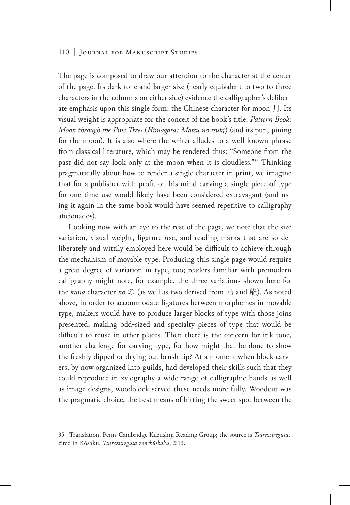The page is composed to draw our attention to the character at the center of the page. Its dark tone and larger size (nearly equivalent to two to three characters in the columns on either side) evidence the calligrapher's deliberate emphasis upon this single form: the Chinese character for moon 月. Its visual weight is appropriate for the conceit of the book's title: *Pattern Book: Moon through the Pine Trees* (*Hiinagata: Matsu no tsuk*) (and its pun, pining for the moon). It is also where the writer alludes to a well-known phrase fom classical literature, which may be rendered thus: "Someone fom the past did not say look only at the moon when it is cloudless."35 Thinking pragmatically about how to render a single character in print, we imagine that for a publisher with proft on his mind carving a single piece of type for one time use would likely have been considered extravagant (and using it again in the same book would have seemed repetitive to calligraphy afcionados).

Looking now with an eye to the rest of the page, we note that the size variation, visual weight, ligature use, and reading marks that are so deliberately and wittily employed here would be difficult to achieve through the mechanism of movable type. Producing this single page would require a great degree of variation in type, too; readers familiar with premodern calligraphy might note, for example, the three variations shown here for the *kana* character *no* の (as well as two derived from 乃 and 能). As noted above, in order to accommodate ligatures between morphemes in movable type, makers would have to produce larger blocks of type with those joins presented, making odd-sized and specialty pieces of type that would be difficult to reuse in other places. Then there is the concern for ink tone, another challenge for carving type, for how might that be done to show the freshly dipped or drying out brush tip? At a moment when block carvers, by now organized into guilds, had developed their skills such that they could reproduce in xylography a wide range of calligraphic hands as well as image designs, woodblock served these needs more fully. Woodcut was the pragmatic choice, the best means of hitting the sweet spot between the

<sup>35</sup> Translation, Penn-Cambridge Kuzushii Reading Group; the source is *Tsurezuregusa*, cited in Kōsaku, *Tsurezuregusa zenchūshaku*, 2:1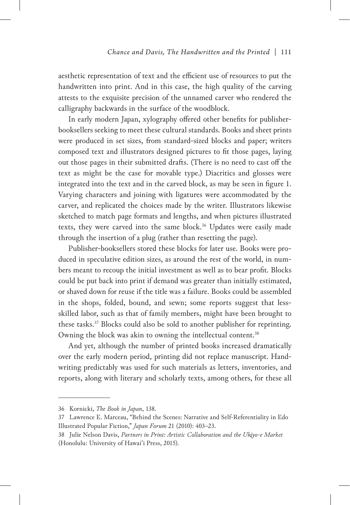aesthetic representation of text and the efficient use of resources to put the handwritten into print. And in this case, the high quality of the carving attests to the exquisite precision of the unnamed carver who rendered the calligraphy backwards in the surface of the woodblock.

In early modern Japan, xylography ofered other benefts for publisherbooksellers seeking to meet these cultural standards. Books and sheet prints were produced in set sizes, fom standard-sized blocks and paper; writers composed text and illustrators designed pictures to ft those pages, laying out those pages in their submitted drafts. (There is no need to cast off the text as might be the case for movable type.) Diacritics and glosses were integrated into the text and in the carved block, as may be seen in figure 1. Varying characters and joining with ligatures were accommodated by the carver, and replicated the choices made by the writer. Illustrators likewise sketched to match page formats and lengths, and when pictures illustrated texts, they were carved into the same block.<sup>36</sup> Updates were easily made through the insertion of a plug (rather than resetting the page).

Publisher-booksellers stored these blocks for later use. Books were produced in speculative edition sizes, as around the rest of the world, in numbers meant to recoup the initial investment as well as to bear proft. Blocks could be put back into print if demand was greater than initially estimated, or shaved down for reuse if the title was a failure. Books could be assembled in the shops, folded, bound, and sewn; some reports suggest that lessskilled labor, such as that of family members, might have been brought to these tasks.37 Blocks could also be sold to another publisher for reprinting. Owning the block was akin to owning the intellectual content.<sup>38</sup>

And yet, although the number of printed books increased dramatically over the early modern period, printing did not replace manuscript. Handwriting predictably was used for such materials as letters, inventories, and reports, along with literary and scholarly texts, among others, for these all

<sup>36</sup> Kornicki, *The Book in Japan*, 138

<sup>37</sup> Lawrence E. Marceau, "Behind the Scenes: Narrative and Self-Referentiality in Edo Illustrated Popular Fiction," *Japan Forum* 21 (2010): 403–23

<sup>38</sup> Julie Nelson Davis, *Partners in Print: Artistic Collaboration and the Ukyo-e Market*  (Honolulu: University of Hawai'i Press, 2015).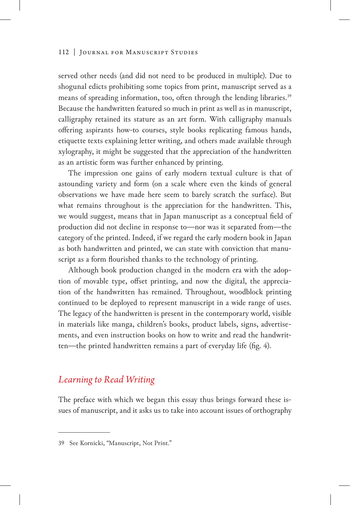served other needs (and did not need to be produced in multiple). Due to shogunal edicts prohibiting some topics fom print, manuscript served as a means of spreading information, too, often through the lending libraries.<sup>39</sup> Because the handwritten featured so much in print as well as in manuscript, calligraphy retained its stature as an art form. With calligraphy manuals ofering aspirants how-to courses, style books replicating famous hands, etiquette texts explaining letter writing, and others made available through xylography, it might be suggested that the appreciation of the handwritten as an artistic form was further enhanced by printing.

The impression one gains of early modern textual culture is that of astounding variety and form (on a scale where even the kinds of general observations we have made here seem to barely scratch the surface). But what remains throughout is the appreciation for the handwritten. This, we would suggest, means that in Japan manuscript as a conceptual feld of production did not decline in response to—nor was it separated fom—the category of the printed. Indeed, if we regard the early modern book in Japan as both handwritten and printed, we can state with conviction that manuscript as a form flourished thanks to the technology of printing.

Although book production changed in the modern era with the adoption of movable type, offset printing, and now the digital, the appreciation of the handwritten has remained. Throughout, woodblock printing continued to be deployed to represent manuscript in a wide range of uses. The legacy of the handwritten is present in the contemporary world, visible in materials like manga, children's books, product labels, signs, advertisements, and even instruction books on how to write and read the handwritten—the printed handwritten remains a part of everyday life (fg. 4).

### *Learning to Read Writing*

The preface with which we began this essay thus brings forward these issues of manuscript, and it asks us to take into account issues of orthography

<sup>39</sup> See Kornicki, "Manuscript, Not Print."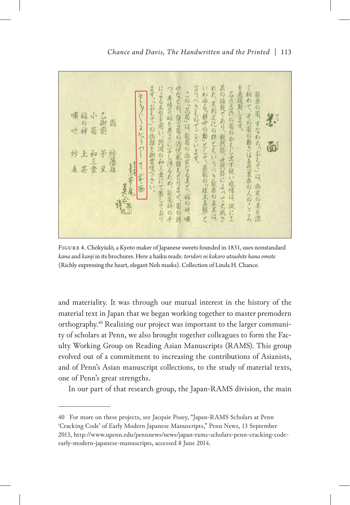

Figure 4. Chōkyūdō, a Kyoto maker of Japanese sweets founded in 1831, uses nonstandard *kana* and *kanji* in its brochures. Here a haiku reads: *toridori ni kokoro utsushite hana omote*  (Richly expressing the heart, elegant Noh masks). Collection of Linda H. Chance.

and materiality. It was through our mutual interest in the history of the material text in Japan that we began working together to master premodern orthography.40 Realizing our project was important to the larger community of scholars at Penn, we also brought together colleagues to form the Faculty Working Group on Reading Asian Manuscripts (RAMS). This group evolved out of a commitment to increasing the contributions of Asianists, and of Penn's Asian manuscript collections, to the study of material texts, one of Penn's great strengths.

In our part of that research group, the Japan-RAMS division, the main

<sup>40</sup> For more on these projects, see Jacquie Posey, "Japan-RAMS Scholars at Penn 'Cracking Code' of Early Modern Japanese Manuscripts," Penn News, 13 September 2013, http://www.upenn.edu/pennnews/news/japan-rams-scholars-penn-cracking-codeearly-modern-japanese-manuscripts, accessed 8 June 2014.